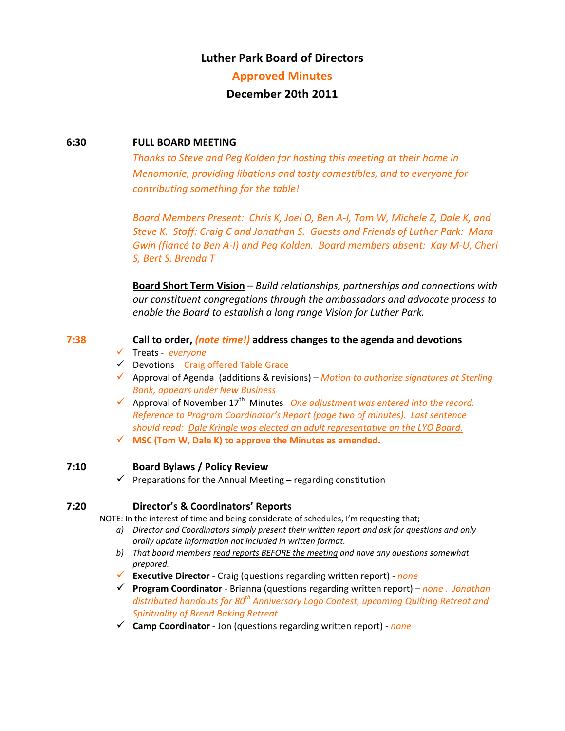# **Luther Park Board of Directors**

#### **Approved Minutes**

# **December 20th 2011**

#### **6:30 FULL BOARD MEETING**

*Thanks to Steve and Peg Kolden for hosting this meeting at their home in Menomonie, providing libations and tasty comestibles, and to everyone for contributing something for the table!* 

*Board Members Present: Chris K, Joel O, Ben A‐I, Tom W, Michele Z, Dale K, and Steve K. Staff: Craig C and Jonathan S. Guests and Friends of Luther Park: Mara Gwin (fiancé to Ben A‐I) and Peg Kolden. Board members absent: Kay M‐U, Cheri S, Bert S. Brenda T*

**Board Short Term Vision** – *Build relationships, partnerships and connections with our constituent congregations through the ambassadors and advocate process to enable the Board to establish a long range Vision for Luther Park.*

#### **7:38 Call to order,** *(note time!)* **address changes to the agenda and devotions**

- Treats ‐ *everyone*
- $\checkmark$  Devotions Craig offered Table Grace
- Approval of Agenda (additions & revisions) *Motion to authorize signatures at Sterling Bank, appears under New Business*
- $\checkmark$  Approval of November 17<sup>th</sup> Minutes One *adjustment* was entered *into the record. Reference to Program Coordinator's Report (page two of minutes). Last sentence should read: Dale Kringle was elected an adult representative on the LYO Board.*
- **MSC (Tom W, Dale K) to approve the Minutes as amended.**

#### **7:10 Board Bylaws / Policy Review**

 $\checkmark$  Preparations for the Annual Meeting – regarding constitution

#### **7:20 Director's & Coordinators' Reports**

NOTE: In the interest of time and being considerate of schedules, I'm requesting that;

- *a) Director and Coordinators simply present their written report and ask for questions and only orally update information not included in written format.*
- *b) That board members read reports BEFORE the meeting and have any questions somewhat prepared.*
- **Executive Director** ‐ Craig (questions regarding written report) ‐ *none*
- **Program Coordinator** ‐ Brianna (questions regarding written report) *none . Jonathan distributed handouts for 80th Anniversary Logo Contest, upcoming Quilting Retreat and Spirituality of Bread Baking Retreat*
- **Camp Coordinator** ‐ Jon (questions regarding written report) ‐ *none*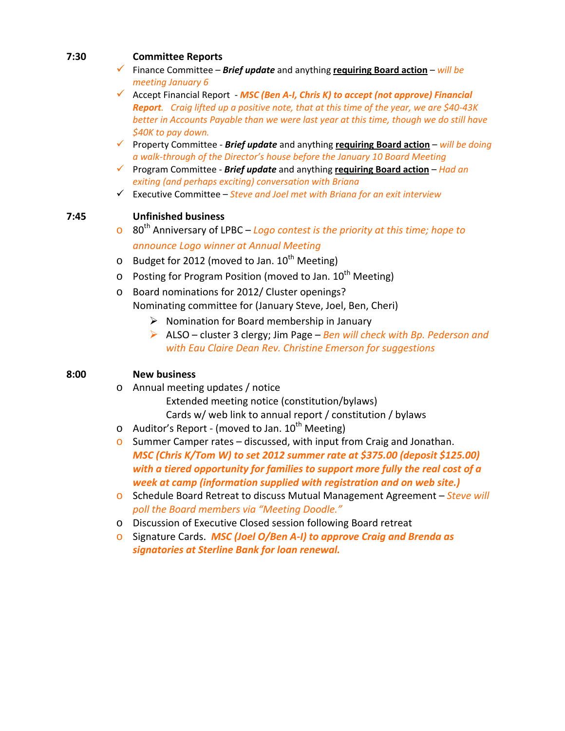## **7:30 Committee Reports**

- Finance Committee *Brief update* and anything **requiring Board action** *will be meeting January 6*
- Accept Financial Report ‐ *MSC (Ben A‐I, Chris K) to accept (not approve) Financial* **Report.** Craig lifted up a positive note, that at this time of the year, we are \$40-43K *better in Accounts Payable than we were last year at this time, though we do still have \$40K to pay down.*
- Property Committee ‐ *Brief update* and anything **requiring Board action** *will be doing a walk‐through of the Director's house before the January 10 Board Meeting*
- Program Committee ‐ *Brief update* and anything **requiring Board action** *Had an exiting (and perhaps exciting) conversation with Briana*
- Executive Committee *Steve and Joel met with Briana for an exit interview*

# **7:45 Unfinished business**

- o 80th Anniversary of LPBC *Logo contest is the priority at this time; hope to announce Logo winner at Annual Meeting*
- $\circ$  Budget for 2012 (moved to Jan. 10<sup>th</sup> Meeting)
- $\circ$  Posting for Program Position (moved to Jan. 10<sup>th</sup> Meeting)
- o Board nominations for 2012/ Cluster openings? Nominating committee for (January Steve, Joel, Ben, Cheri)
	- $\triangleright$  Nomination for Board membership in January
	- ALSO cluster 3 clergy; Jim Page *Ben will check with Bp. Pederson and with Eau Claire Dean Rev. Christine Emerson for suggestions*

## **8:00 New business**

- o Annual meeting updates / notice Extended meeting notice (constitution/bylaws) Cards w/ web link to annual report / constitution / bylaws
- $\circ$  Auditor's Report (moved to Jan. 10<sup>th</sup> Meeting)
- o Summer Camper rates discussed, with input from Craig and Jonathan. *MSC (Chris K/Tom W) to set 2012 summer rate at \$375.00 (deposit \$125.00) with a tiered opportunity for families to support more fully the real cost of a week at camp (information supplied with registration and on web site.)*
- o Schedule Board Retreat to discuss Mutual Management Agreement *Steve will poll the Board members via "Meeting Doodle."*
- o Discussion of Executive Closed session following Board retreat
- o Signature Cards. *MSC (Joel O/Ben A‐I) to approve Craig and Brenda as signatories at Sterline Bank for loan renewal.*